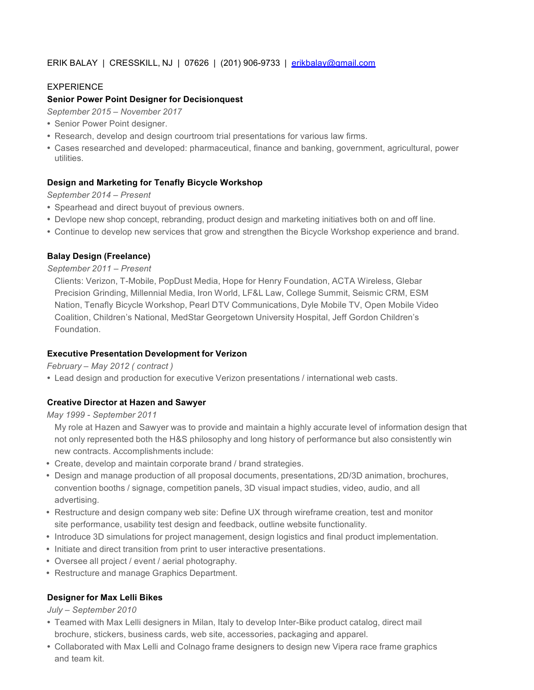# ERIK BALAY | CRESSKILL, NJ | 07626 | (201) 906-9733 | erikbalay@gmail.com

# EXPERIENCE

### **Senior Power Point Designer for Decisionquest**

- *September 2015 – November 2017*
- Senior Power Point designer.
- Research, develop and design courtroom trial presentations for various law firms.
- Cases researched and developed: pharmaceutical, finance and banking, government, agricultural, power utilities.

### **Design and Marketing for Tenafly Bicycle Workshop**

*September 2014 – Present*

- Spearhead and direct buyout of previous owners.
- Devlope new shop concept, rebranding, product design and marketing initiatives both on and off line.
- Continue to develop new services that grow and strengthen the Bicycle Workshop experience and brand.

### **Balay Design (Freelance)**

#### *September 2011 – Present*

Clients: Verizon, T-Mobile, PopDust Media, Hope for Henry Foundation, ACTA Wireless, Glebar Precision Grinding, Millennial Media, Iron World, LF&L Law, College Summit, Seismic CRM, ESM Nation, Tenafly Bicycle Workshop, Pearl DTV Communications, Dyle Mobile TV, Open Mobile Video Coalition, Children's National, MedStar Georgetown University Hospital, Jeff Gordon Children's Foundation.

#### **Executive Presentation Development for Verizon**

#### *February – May 2012 ( contract )*

Lead design and production for executive Verizon presentations / international web casts.

## **Creative Director at Hazen and Sawyer**

*May 1999 - September 2011*

My role at Hazen and Sawyer was to provide and maintain a highly accurate level of information design that not only represented both the H&S philosophy and long history of performance but also consistently win new contracts. Accomplishments include:

- Create, develop and maintain corporate brand / brand strategies.
- Design and manage production of all proposal documents, presentations, 2D/3D animation, brochures, convention booths / signage, competition panels, 3D visual impact studies, video, audio, and all advertising.
- Restructure and design company web site: Define UX through wireframe creation, test and monitor site performance, usability test design and feedback, outline website functionality.
- Introduce 3D simulations for project management, design logistics and final product implementation.
- Initiate and direct transition from print to user interactive presentations.
- Oversee all project / event / aerial photography.
- Restructure and manage Graphics Department.

## **Designer for Max Lelli Bikes**

#### *July – September 2010*

- Teamed with Max Lelli designers in Milan, Italy to develop Inter-Bike product catalog, direct mail brochure, stickers, business cards, web site, accessories, packaging and apparel.
- Collaborated with Max Lelli and Colnago frame designers to design new Vipera race frame graphics and team kit.